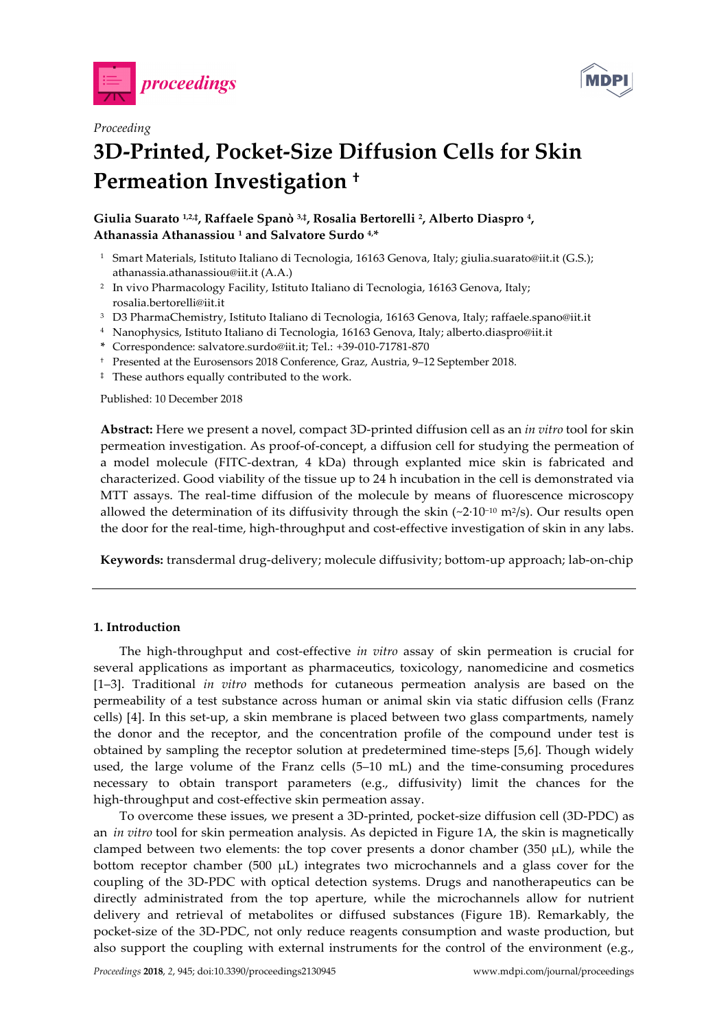



# *Proceeding*  **3D-Printed, Pocket-Size Diffusion Cells for Skin Permeation Investigation †**

**Giulia Suarato 1,2,‡, Raffaele Spanò 3,‡, Rosalia Bertorelli 2, Alberto Diaspro 4, Athanassia Athanassiou 1 and Salvatore Surdo 4,\***

- <sup>1</sup> Smart Materials, Istituto Italiano di Tecnologia, 16163 Genova, Italy; giulia.suarato@iit.it (G.S.); athanassia.athanassiou@iit.it (A.A.)
- 2 In vivo Pharmacology Facility, Istituto Italiano di Tecnologia, 16163 Genova, Italy; rosalia.bertorelli@iit.it
- 3 D3 PharmaChemistry, Istituto Italiano di Tecnologia, 16163 Genova, Italy; raffaele.spano@iit.it
- 4 Nanophysics, Istituto Italiano di Tecnologia, 16163 Genova, Italy; alberto.diaspro@iit.it
- **\*** Correspondence: salvatore.surdo@iit.it; Tel.: +39-010-71781-870
- † Presented at the Eurosensors 2018 Conference, Graz, Austria, 9–12 September 2018.
- ‡ These authors equally contributed to the work.

Published: 10 December 2018

**Abstract:** Here we present a novel, compact 3D-printed diffusion cell as an *in vitro* tool for skin permeation investigation. As proof-of-concept, a diffusion cell for studying the permeation of a model molecule (FITC-dextran, 4 kDa) through explanted mice skin is fabricated and characterized. Good viability of the tissue up to 24 h incubation in the cell is demonstrated via MTT assays. The real-time diffusion of the molecule by means of fluorescence microscopy allowed the determination of its diffusivity through the skin (~2·10<sup>-10</sup> m<sup>2</sup>/s). Our results open the door for the real-time, high-throughput and cost-effective investigation of skin in any labs.

**Keywords:** transdermal drug-delivery; molecule diffusivity; bottom-up approach; lab-on-chip

# **1. Introduction**

The high-throughput and cost-effective *in vitro* assay of skin permeation is crucial for several applications as important as pharmaceutics, toxicology, nanomedicine and cosmetics [1–3]. Traditional *in vitro* methods for cutaneous permeation analysis are based on the permeability of a test substance across human or animal skin via static diffusion cells (Franz cells) [4]. In this set-up, a skin membrane is placed between two glass compartments, namely the donor and the receptor, and the concentration profile of the compound under test is obtained by sampling the receptor solution at predetermined time-steps [5,6]. Though widely used, the large volume of the Franz cells (5–10 mL) and the time-consuming procedures necessary to obtain transport parameters (e.g., diffusivity) limit the chances for the high-throughput and cost-effective skin permeation assay.

To overcome these issues, we present a 3D-printed, pocket-size diffusion cell (3D-PDC) as an *in vitro* tool for skin permeation analysis. As depicted in Figure 1A, the skin is magnetically clamped between two elements: the top cover presents a donor chamber (350  $\mu$ L), while the bottom receptor chamber (500  $\mu$ L) integrates two microchannels and a glass cover for the coupling of the 3D-PDC with optical detection systems. Drugs and nanotherapeutics can be directly administrated from the top aperture, while the microchannels allow for nutrient delivery and retrieval of metabolites or diffused substances (Figure 1B). Remarkably, the pocket-size of the 3D-PDC, not only reduce reagents consumption and waste production, but also support the coupling with external instruments for the control of the environment (e.g.,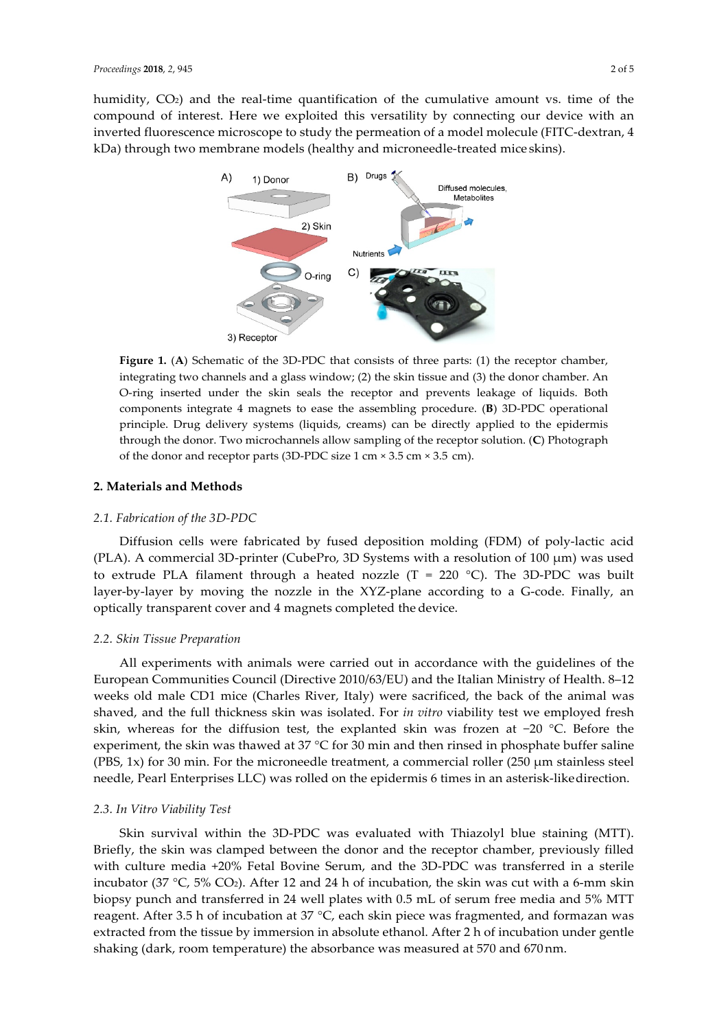humidity,  $CO<sub>2</sub>$ ) and the real-time quantification of the cumulative amount vs. time of the compound of interest. Here we exploited this versatility by connecting our device with an inverted fluorescence microscope to study the permeation of a model molecule (FITC-dextran, 4 kDa) through two membrane models (healthy and microneedle-treated mice skins).



**Figure 1. (A)** Schematic of the 3D-PDC that consists of three parts: (1) the receptor chamber, integrating two channels and a glass window; (2) the skin tissue and (3) the donor chamber. An O-ring inserted under the skin seals the receptor and prevents leakage of liquids. Both components integrate 4 magnets to ease the assembling procedure. (**B**) 3D-PDC operational principle. Drug delivery systems (liquids, creams) can be directly applied to the epidermis through the donor. Two microchannels allow sampling of the receptor solution. (**C**) Photograph of the donor and receptor parts (3D-PDC size 1 cm × 3.5 cm × 3.5 cm).

## **2. Materials and Methods**

#### *2.1. Fabrication of the 3D-PDC*

Diffusion cells were fabricated by fused deposition molding (FDM) of poly-lactic acid (PLA). A commercial 3D-printer (CubePro, 3D Systems with a resolution of 100  $\mu$ m) was used to extrude PLA filament through a heated nozzle (T = 220  $^{\circ}$ C). The 3D-PDC was built layer-by-layer by moving the nozzle in the XYZ-plane according to a G-code. Finally, an optically transparent cover and 4 magnets completed the device.

#### *2.2. Skin Tissue Preparation*

All experiments with animals were carried out in accordance with the guidelines of the European Communities Council (Directive 2010/63/EU) and the Italian Ministry of Health. 8–12 weeks old male CD1 mice (Charles River, Italy) were sacrificed, the back of the animal was shaved, and the full thickness skin was isolated. For *in vitro* viability test we employed fresh skin, whereas for the diffusion test, the explanted skin was frozen at −20 °C. Before the experiment, the skin was thawed at  $37 \degree C$  for  $30$  min and then rinsed in phosphate buffer saline (PBS, 1x) for 30 min. For the microneedle treatment, a commercial roller (250  $\mu$ m stainless steel needle, Pearl Enterprises LLC) was rolled on the epidermis 6 times in an asterisk-like direction.

## *2.3. In Vitro Viability Test*

Skin survival within the 3D-PDC was evaluated with Thiazolyl blue staining (MTT). Briefly, the skin was clamped between the donor and the receptor chamber, previously filled with culture media +20% Fetal Bovine Serum, and the 3D-PDC was transferred in a sterile incubator (37 °C, 5% CO2). After 12 and 24 h of incubation, the skin was cut with a 6-mm skin biopsy punch and transferred in 24 well plates with 0.5 mL of serum free media and 5% MTT reagent. After 3.5 h of incubation at 37 °C, each skin piece was fragmented, and formazan was extracted from the tissue by immersion in absolute ethanol. After 2 h of incubation under gentle shaking (dark, room temperature) the absorbance was measured at 570 and 670 nm.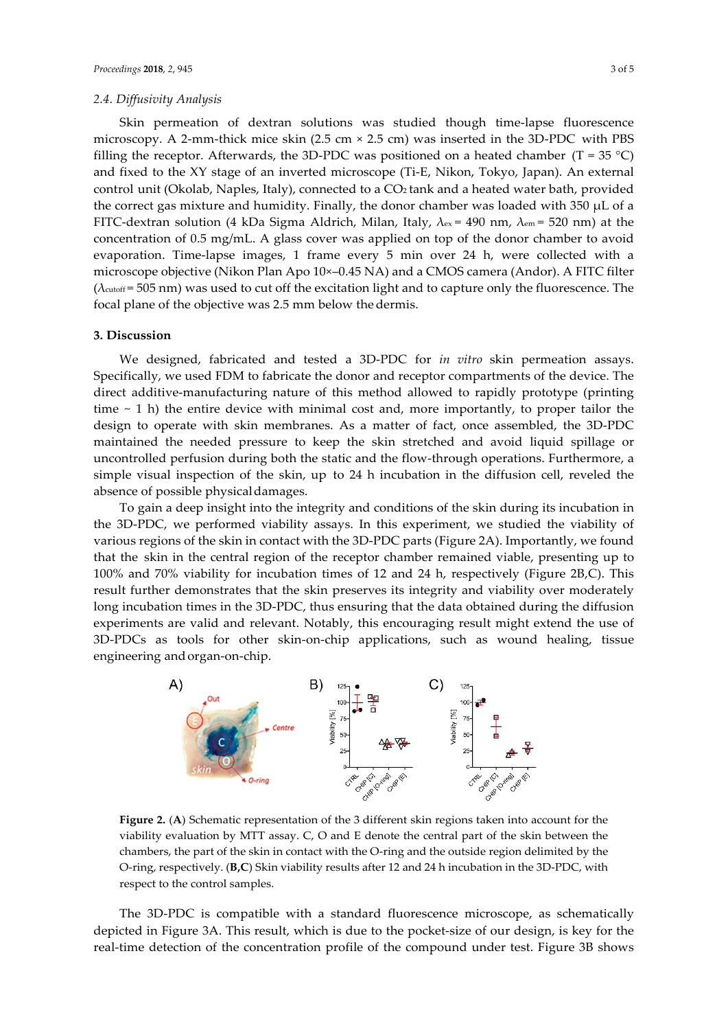Skin permeation of dextran solutions was studied though time-lapse fluorescence microscopy. A 2-mm-thick mice skin (2.5 cm × 2.5 cm) was inserted in the 3D-PDC with PBS filling the receptor. Afterwards, the 3D-PDC was positioned on a heated chamber (T = 35 °C) and fixed to the XY stage of an inverted microscope (Ti-E, Nikon, Tokyo, Japan). An external control unit (Okolab, Naples, Italy), connected to a CO2 tank and a heated water bath, provided the correct gas mixture and humidity. Finally, the donor chamber was loaded with 350 µL of a FITC-dextran solution (4 kDa Sigma Aldrich, Milan, Italy,  $\lambda_{ex} = 490$  nm,  $\lambda_{em} = 520$  nm) at the concentration of 0.5 mg/mL. A glass cover was applied on top of the donor chamber to avoid evaporation. Time-lapse images, 1 frame every 5 min over 24 h, were collected with a microscope objective (Nikon Plan Apo 10×–0.45 NA) and a CMOS camera (Andor). A FITC filter  $(\lambda_{\text{cutoff}} = 505 \text{ nm})$  was used to cut off the excitation light and to capture only the fluorescence. The focal plane of the objective was 2.5 mm below the dermis.

## **3. Discussion**

We designed, fabricated and tested a 3D-PDC for *in vitro* skin permeation assays. Specifically, we used FDM to fabricate the donor and receptor compartments of the device. The direct additive-manufacturing nature of this method allowed to rapidly prototype (printing time  $\sim$  1 h) the entire device with minimal cost and, more importantly, to proper tailor the design to operate with skin membranes. As a matter of fact, once assembled, the 3D-PDC maintained the needed pressure to keep the skin stretched and avoid liquid spillage or uncontrolled perfusion during both the static and the flow-through operations. Furthermore, a simple visual inspection of the skin, up to 24 h incubation in the diffusion cell, reveled the absence of possible physical damages.

To gain a deep insight into the integrity and conditions of the skin during its incubation in the 3D-PDC, we performed viability assays. In this experiment, we studied the viability of various regions of the skin in contact with the 3D-PDC parts (Figure 2A). Importantly, we found that the skin in the central region of the receptor chamber remained viable, presenting up to 100% and 70% viability for incubation times of 12 and 24 h, respectively (Figure 2B,C). This result further demonstrates that the skin preserves its integrity and viability over moderately long incubation times in the 3D-PDC, thus ensuring that the data obtained during the diffusion experiments are valid and relevant. Notably, this encouraging result might extend the use of 3D-PDCs as tools for other skin-on-chip applications, such as wound healing, tissue engineering and organ-on-chip.



**Figure 2.** (**A**) Schematic representation of the 3 different skin regions taken into account for the viability evaluation by MTT assay. C, O and E denote the central part of the skin between the chambers, the part of the skin in contact with the O-ring and the outside region delimited by the O-ring, respectively. (**B,C**) Skin viability results after 12 and 24 h incubation in the 3D-PDC, with respect to the control samples.

The 3D-PDC is compatible with a standard fluorescence microscope, as schematically depicted in Figure 3A. This result, which is due to the pocket-size of our design, is key for the real-time detection of the concentration profile of the compound under test. Figure 3B shows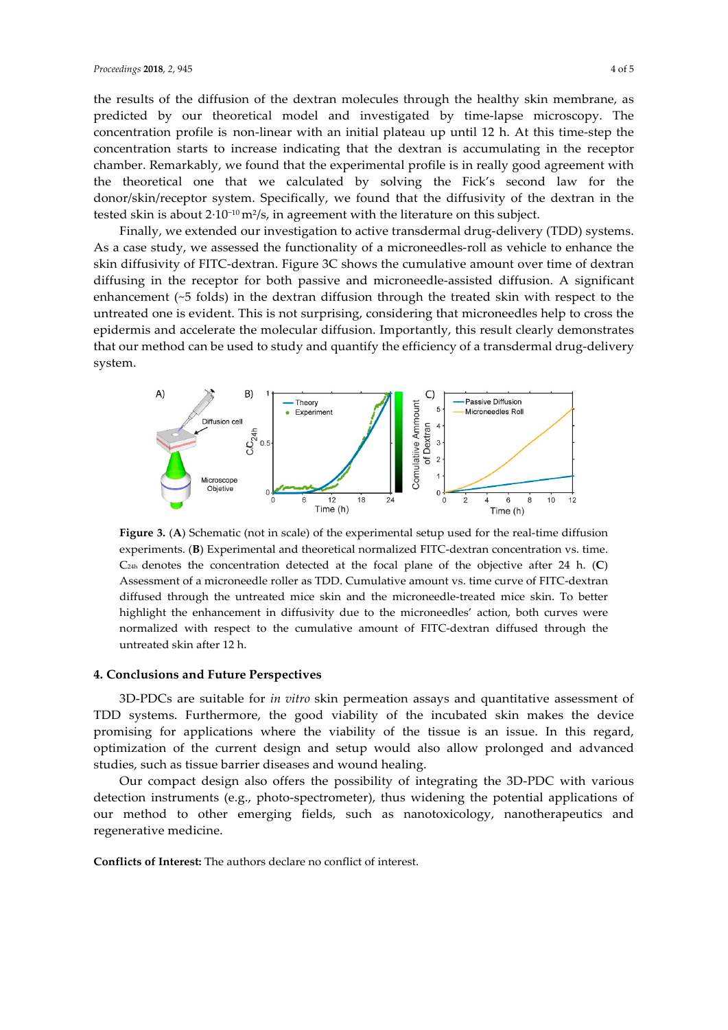the results of the diffusion of the dextran molecules through the healthy skin membrane, as predicted by our theoretical model and investigated by time-lapse microscopy. The concentration profile is non-linear with an initial plateau up until 12 h. At this time-step the concentration starts to increase indicating that the dextran is accumulating in the receptor chamber. Remarkably, we found that the experimental profile is in really good agreement with the theoretical one that we calculated by solving the Fick's second law for the donor/skin/receptor system. Specifically, we found that the diffusivity of the dextran in the tested skin is about 2·10−10 m2/s, in agreement with the literature on this subject.

Finally, we extended our investigation to active transdermal drug-delivery (TDD) systems. As a case study, we assessed the functionality of a microneedles-roll as vehicle to enhance the skin diffusivity of FITC-dextran. Figure 3C shows the cumulative amount over time of dextran diffusing in the receptor for both passive and microneedle-assisted diffusion. A significant enhancement (~5 folds) in the dextran diffusion through the treated skin with respect to the untreated one is evident. This is not surprising, considering that microneedles help to cross the epidermis and accelerate the molecular diffusion. Importantly, this result clearly demonstrates that our method can be used to study and quantify the efficiency of a transdermal drug-delivery system.



**Figure 3.** (**A**) Schematic (not in scale) of the experimental setup used for the real-time diffusion experiments. (**B**) Experimental and theoretical normalized FITC-dextran concentration vs. time. C24h denotes the concentration detected at the focal plane of the objective after 24 h. (**C**) Assessment of a microneedle roller as TDD. Cumulative amount vs. time curve of FITC-dextran diffused through the untreated mice skin and the microneedle-treated mice skin. To better highlight the enhancement in diffusivity due to the microneedles' action, both curves were normalized with respect to the cumulative amount of FITC-dextran diffused through the untreated skin after 12 h.

## **4. Conclusions and Future Perspectives**

3D-PDCs are suitable for *in vitro* skin permeation assays and quantitative assessment of TDD systems. Furthermore, the good viability of the incubated skin makes the device promising for applications where the viability of the tissue is an issue. In this regard, optimization of the current design and setup would also allow prolonged and advanced studies, such as tissue barrier diseases and wound healing.

Our compact design also offers the possibility of integrating the 3D-PDC with various detection instruments (e.g., photo-spectrometer), thus widening the potential applications of our method to other emerging fields, such as nanotoxicology, nanotherapeutics and regenerative medicine.

**Conflicts of Interest:** The authors declare no conflict of interest.